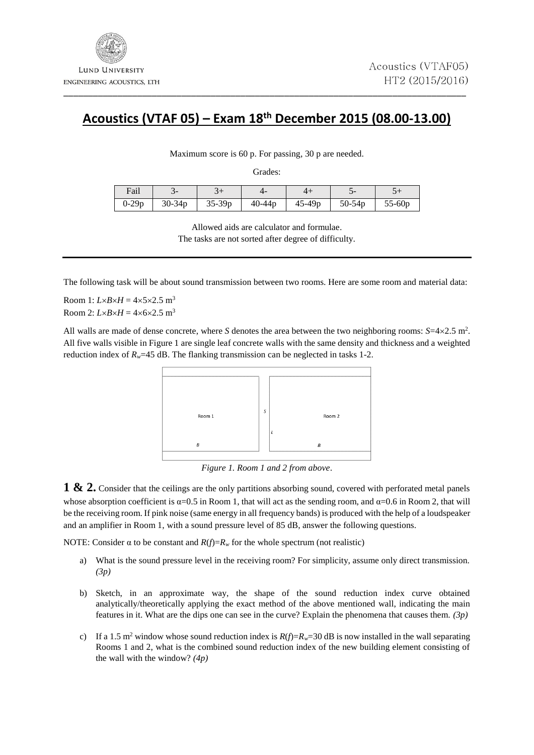## **Acoustics (VTAF 05) – Exam 18 th December 2015 (08.00-13.00)**

\_\_\_\_\_\_\_\_\_\_\_\_\_\_\_\_\_\_\_\_\_\_\_\_\_\_\_\_\_\_\_\_\_\_\_\_\_\_\_\_\_\_\_\_\_\_\_\_\_\_\_\_\_\_\_\_\_\_\_\_\_\_\_\_\_\_\_\_\_\_\_\_\_\_\_\_\_\_\_\_\_\_

Maximum score is 60 p. For passing, 30 p are needed.

Grades:

| Fail    |            |          |            |            |          |          |
|---------|------------|----------|------------|------------|----------|----------|
| $0-29p$ | $30 - 34p$ | $35-39p$ | $40 - 44p$ | $45 - 49p$ | $50-54p$ | $55-60p$ |

Allowed aids are calculator and formulae. The tasks are not sorted after degree of difficulty.

The following task will be about sound transmission between two rooms. Here are some room and material data:

Room 1:  $L \times B \times H = 4 \times 5 \times 2.5$  m<sup>3</sup> Room 2:  $L \times B \times H = 4 \times 6 \times 2.5$  m<sup>3</sup>

All walls are made of dense concrete, where *S* denotes the area between the two neighboring rooms:  $S=4\times2.5$  m<sup>2</sup>. All five walls visible in Figure 1 are single leaf concrete walls with the same density and thickness and a weighted reduction index of  $R_w$ =45 dB. The flanking transmission can be neglected in tasks 1-2.

| Room 1 | S | Room 2 |
|--------|---|--------|
|        |   |        |
| B      |   | B      |
|        |   |        |

*Figure 1. Room 1 and 2 from above*.

**1 & 2.** Consider that the ceilings are the only partitions absorbing sound, covered with perforated metal panels whose absorption coefficient is  $\alpha=0.5$  in Room 1, that will act as the sending room, and  $\alpha=0.6$  in Room 2, that will be the receiving room. If pink noise (same energy in all frequency bands) is produced with the help of a loudspeaker and an amplifier in Room 1, with a sound pressure level of 85 dB, answer the following questions.

NOTE: Consider  $\alpha$  to be constant and  $R(f)=R_w$  for the whole spectrum (not realistic)

- a) What is the sound pressure level in the receiving room? For simplicity, assume only direct transmission. *(3p)*
- b) Sketch, in an approximate way, the shape of the sound reduction index curve obtained analytically/theoretically applying the exact method of the above mentioned wall, indicating the main features in it. What are the dips one can see in the curve? Explain the phenomena that causes them. *(3p)*
- c) If a 1.5 m<sup>2</sup> window whose sound reduction index is  $R(f)=R_w=30$  dB is now installed in the wall separating Rooms 1 and 2, what is the combined sound reduction index of the new building element consisting of the wall with the window? *(4p)*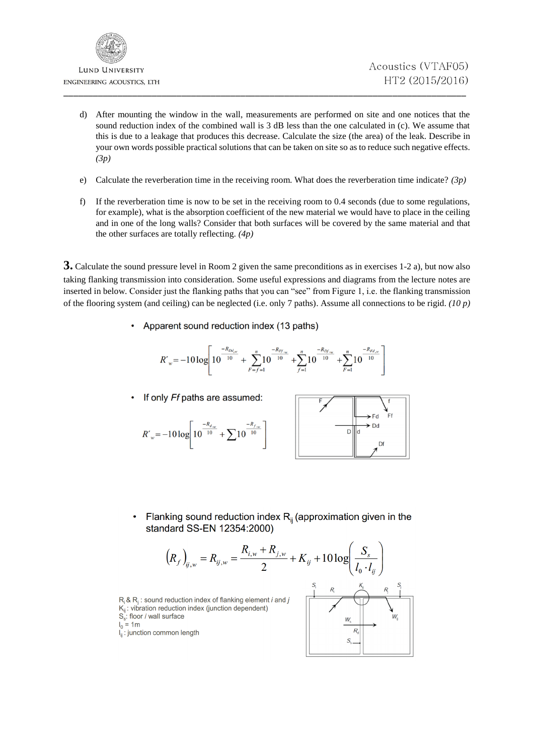

- d) After mounting the window in the wall, measurements are performed on site and one notices that the sound reduction index of the combined wall is 3 dB less than the one calculated in (c). We assume that this is due to a leakage that produces this decrease. Calculate the size (the area) of the leak. Describe in your own words possible practical solutions that can be taken on site so as to reduce such negative effects. *(3p)*
- e) Calculate the reverberation time in the receiving room. What does the reverberation time indicate? *(3p)*
- f) If the reverberation time is now to be set in the receiving room to 0.4 seconds (due to some regulations, for example), what is the absorption coefficient of the new material we would have to place in the ceiling and in one of the long walls? Consider that both surfaces will be covered by the same material and that the other surfaces are totally reflecting. *(4p)*

**3.** Calculate the sound pressure level in Room 2 given the same preconditions as in exercises 1-2 a), but now also taking flanking transmission into consideration. Some useful expressions and diagrams from the lecture notes are inserted in below. Consider just the flanking paths that you can "see" from Figure 1, i.e. the flanking transmission of the flooring system (and ceiling) can be neglected (i.e. only 7 paths). Assume all connections to be rigid. *(10 p)*

• Apparent sound reduction index (13 paths)

$$
R'_{w}\!=\!-10\log\!\left[10^{\frac{-R_{Dd_w}}{10}}+\sum_{F=f=1}^{n}\!\!10^{\frac{-R_{Ff_{w}}}{10}}+\!\sum_{f=1}^{n}\!\!10^{\frac{-R_{Df_{w}}}{10}}+\!\sum_{F=1}^{n}\!\!10^{\frac{-R_{Fd_w}}{10}}\right]
$$

 $R'_{w} = -10 \log \left[ 10^{\frac{-R_{d_w}}{10}} + \sum_{n=10}^{\infty} 10^{\frac{-R_{f_w}}{10}} \right]$ 

If only Ff paths are assumed:



Flanking sound reduction index  $R_{ii}$  (approximation given in the standard SS-EN 12354:2000)

$$
(R_f)_{ij,w} = R_{ij,w} = \frac{R_{i,w} + R_{j,w}}{2} + K_{ij} + 10 \log \left( \frac{S_s}{I_0 \cdot I_{ij}} \right)
$$

 $R_i$  &  $R_i$ : sound reduction index of flanking element *i* and *j*  $K_{ii}$ : vibration reduction index (junction dependent) S.: floor / wall surface

$$
I_0 = 1m
$$

 $I_{ij}$ : junction common length

$$
\begin{array}{c|c}\nS_1 & R_1 & K_1 & S_1 \\
\hline\n\end{array}
$$